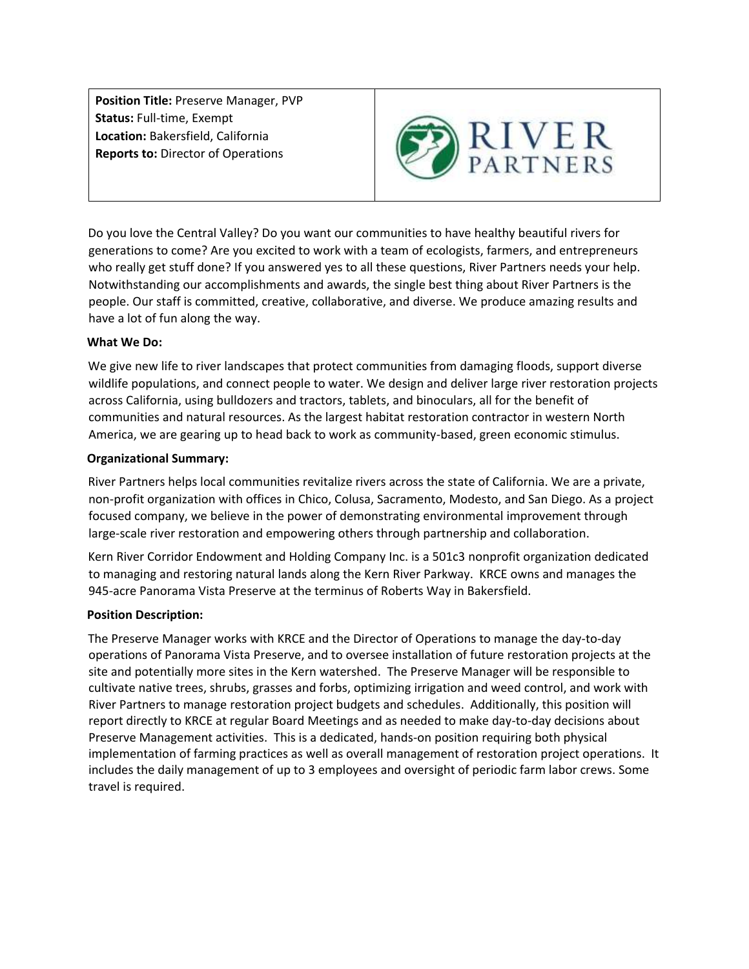**Position Title:** Preserve Manager, PVP **Status:** Full-time, Exempt **Location:** Bakersfield, California **Reports to:** Director of Operations



Do you love the Central Valley? Do you want our communities to have healthy beautiful rivers for generations to come? Are you excited to work with a team of ecologists, farmers, and entrepreneurs who really get stuff done? If you answered yes to all these questions, River Partners needs your help. Notwithstanding our accomplishments and awards, the single best thing about River Partners is the people. Our staff is committed, creative, collaborative, and diverse. We produce amazing results and have a lot of fun along the way.

## **What We Do:**

We give new life to river landscapes that protect communities from damaging floods, support diverse wildlife populations, and connect people to water. We design and deliver large river restoration projects across California, using bulldozers and tractors, tablets, and binoculars, all for the benefit of communities and natural resources. As the largest habitat restoration contractor in western North America, we are gearing up to head back to work as community-based, green economic stimulus.

## **Organizational Summary:**

River Partners helps local communities revitalize rivers across the state of California. We are a private, non-profit organization with offices in Chico, Colusa, Sacramento, Modesto, and San Diego. As a project focused company, we believe in the power of demonstrating environmental improvement through large-scale river restoration and empowering others through partnership and collaboration.

Kern River Corridor Endowment and Holding Company Inc. is a 501c3 nonprofit organization dedicated to managing and restoring natural lands along the Kern River Parkway. KRCE owns and manages the 945-acre Panorama Vista Preserve at the terminus of Roberts Way in Bakersfield.

## **Position Description:**

The Preserve Manager works with KRCE and the Director of Operations to manage the day-to-day operations of Panorama Vista Preserve, and to oversee installation of future restoration projects at the site and potentially more sites in the Kern watershed. The Preserve Manager will be responsible to cultivate native trees, shrubs, grasses and forbs, optimizing irrigation and weed control, and work with River Partners to manage restoration project budgets and schedules. Additionally, this position will report directly to KRCE at regular Board Meetings and as needed to make day-to-day decisions about Preserve Management activities. This is a dedicated, hands-on position requiring both physical implementation of farming practices as well as overall management of restoration project operations. It includes the daily management of up to 3 employees and oversight of periodic farm labor crews. Some travel is required.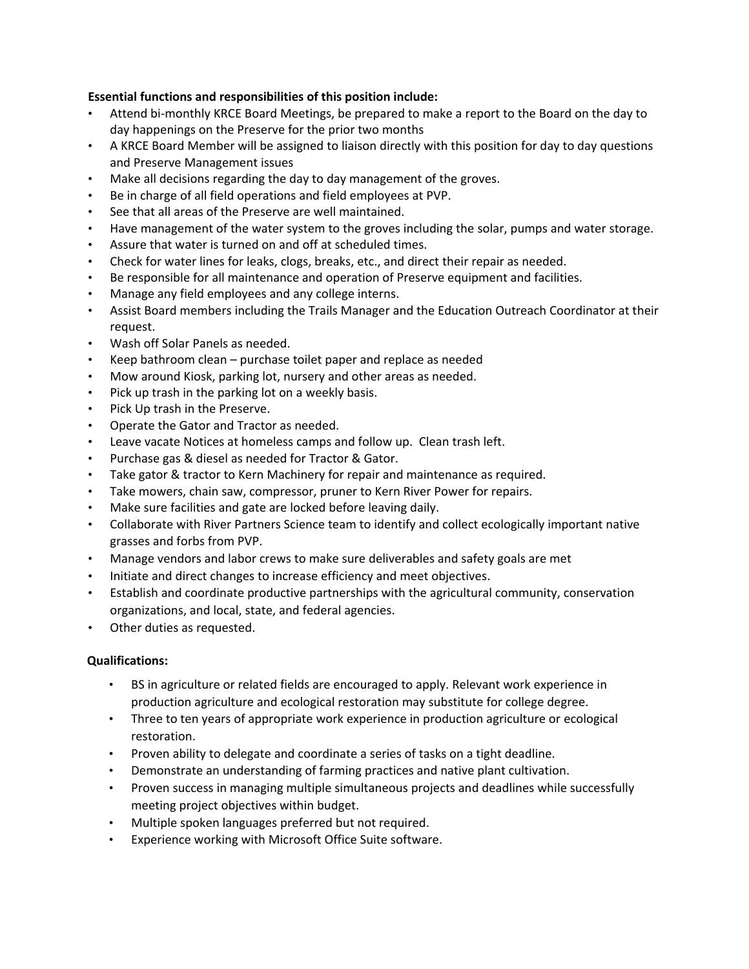# **Essential functions and responsibilities of this position include:**

- Attend bi-monthly KRCE Board Meetings, be prepared to make a report to the Board on the day to day happenings on the Preserve for the prior two months
- A KRCE Board Member will be assigned to liaison directly with this position for day to day questions and Preserve Management issues
- Make all decisions regarding the day to day management of the groves.
- Be in charge of all field operations and field employees at PVP.
- See that all areas of the Preserve are well maintained.
- Have management of the water system to the groves including the solar, pumps and water storage.
- Assure that water is turned on and off at scheduled times.
- Check for water lines for leaks, clogs, breaks, etc., and direct their repair as needed.
- Be responsible for all maintenance and operation of Preserve equipment and facilities.
- Manage any field employees and any college interns.
- Assist Board members including the Trails Manager and the Education Outreach Coordinator at their request.
- Wash off Solar Panels as needed.
- Keep bathroom clean purchase toilet paper and replace as needed
- Mow around Kiosk, parking lot, nursery and other areas as needed.
- Pick up trash in the parking lot on a weekly basis.
- Pick Up trash in the Preserve.
- Operate the Gator and Tractor as needed.
- Leave vacate Notices at homeless camps and follow up. Clean trash left.
- Purchase gas & diesel as needed for Tractor & Gator.
- Take gator & tractor to Kern Machinery for repair and maintenance as required.
- Take mowers, chain saw, compressor, pruner to Kern River Power for repairs.
- Make sure facilities and gate are locked before leaving daily.
- Collaborate with River Partners Science team to identify and collect ecologically important native grasses and forbs from PVP.
- Manage vendors and labor crews to make sure deliverables and safety goals are met
- Initiate and direct changes to increase efficiency and meet objectives.
- Establish and coordinate productive partnerships with the agricultural community, conservation organizations, and local, state, and federal agencies.
- Other duties as requested.

## **Qualifications:**

- BS in agriculture or related fields are encouraged to apply. Relevant work experience in production agriculture and ecological restoration may substitute for college degree.
- Three to ten years of appropriate work experience in production agriculture or ecological restoration.
- Proven ability to delegate and coordinate a series of tasks on a tight deadline.
- Demonstrate an understanding of farming practices and native plant cultivation.
- Proven success in managing multiple simultaneous projects and deadlines while successfully meeting project objectives within budget.
- Multiple spoken languages preferred but not required.
- Experience working with Microsoft Office Suite software.